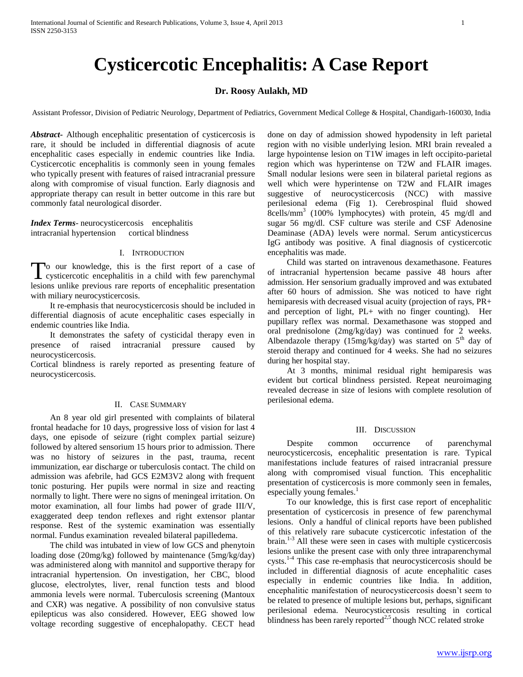# **Cysticercotic Encephalitis: A Case Report**

## **Dr. Roosy Aulakh, MD**

Assistant Professor, Division of Pediatric Neurology, Department of Pediatrics, Government Medical College & Hospital, Chandigarh-160030, India

*Abstract***-** Although encephalitic presentation of cysticercosis is rare, it should be included in differential diagnosis of acute encephalitic cases especially in endemic countries like India. Cysticercotic encephalitis is commonly seen in young females who typically present with features of raised intracranial pressure along with compromise of visual function. Early diagnosis and appropriate therapy can result in better outcome in this rare but commonly fatal neurological disorder.

*Index Terms*- neurocysticercosis encephalitis intracranial hypertension cortical blindness

## I. INTRODUCTION

o our knowledge, this is the first report of a case of To our knowledge, this is the first report of a case of cysticercotic encephalitis in a child with few parenchymal lesions unlike previous rare reports of encephalitic presentation with miliary neurocysticercosis.

 It re-emphasis that neurocysticercosis should be included in differential diagnosis of acute encephalitic cases especially in endemic countries like India.

 It demonstrates the safety of cysticidal therapy even in presence of raised intracranial pressure caused by neurocysticercosis.

Cortical blindness is rarely reported as presenting feature of neurocysticercosis.

## II. CASE SUMMARY

 An 8 year old girl presented with complaints of bilateral frontal headache for 10 days, progressive loss of vision for last 4 days, one episode of seizure (right complex partial seizure) followed by altered sensorium 15 hours prior to admission. There was no history of seizures in the past, trauma, recent immunization, ear discharge or tuberculosis contact. The child on admission was afebrile, had GCS E2M3V2 along with frequent tonic posturing. Her pupils were normal in size and reacting normally to light. There were no signs of meningeal irritation. On motor examination, all four limbs had power of grade III/V, exaggerated deep tendon reflexes and right extensor plantar response. Rest of the systemic examination was essentially normal. Fundus examination revealed bilateral papilledema.

 The child was intubated in view of low GCS and phenytoin loading dose (20mg/kg) followed by maintenance (5mg/kg/day) was administered along with mannitol and supportive therapy for intracranial hypertension. On investigation, her CBC, blood glucose, electrolytes, liver, renal function tests and blood ammonia levels were normal. Tuberculosis screening (Mantoux and CXR) was negative. A possibility of non convulsive status epilepticus was also considered. However, EEG showed low voltage recording suggestive of encephalopathy. CECT head

done on day of admission showed hypodensity in left parietal region with no visible underlying lesion. MRI brain revealed a large hypointense lesion on T1W images in left occipito-parietal region which was hyperintense on T2W and FLAIR images. Small nodular lesions were seen in bilateral parietal regions as well which were hyperintense on T2W and FLAIR images suggestive of neurocysticercosis (NCC) with massive perilesional edema (Fig 1). Cerebrospinal fluid showed 8cells/mm<sup>3</sup> (100% lymphocytes) with protein, 45 mg/dl and sugar 56 mg/dl. CSF culture was sterile and CSF Adenosine Deaminase (ADA) levels were normal. Serum anticysticercus IgG antibody was positive. A final diagnosis of cysticercotic encephalitis was made.

 Child was started on intravenous dexamethasone. Features of intracranial hypertension became passive 48 hours after admission. Her sensorium gradually improved and was extubated after 60 hours of admission. She was noticed to have right hemiparesis with decreased visual acuity (projection of rays, PR+ and perception of light, PL+ with no finger counting). Her pupillary reflex was normal. Dexamethasone was stopped and oral prednisolone (2mg/kg/day) was continued for 2 weeks. Albendazole therapy (15mg/kg/day) was started on  $5<sup>th</sup>$  day of steroid therapy and continued for 4 weeks. She had no seizures during her hospital stay.

 At 3 months, minimal residual right hemiparesis was evident but cortical blindness persisted. Repeat neuroimaging revealed decrease in size of lesions with complete resolution of perilesional edema.

### III. DISCUSSION

 Despite common occurrence of parenchymal neurocysticercosis, encephalitic presentation is rare. Typical manifestations include features of raised intracranial pressure along with compromised visual function. This encephalitic presentation of cysticercosis is more commonly seen in females, especially young females.<sup>1</sup>

 To our knowledge, this is first case report of encephalitic presentation of cysticercosis in presence of few parenchymal lesions. Only a handful of clinical reports have been published of this relatively rare subacute cysticercotic infestation of the brain.<sup>1-3</sup> All these were seen in cases with multiple cysticercosis lesions unlike the present case with only three intraparenchymal cysts.1-4 This case re-emphasis that neurocysticercosis should be included in differential diagnosis of acute encephalitic cases especially in endemic countries like India. In addition, encephalitic manifestation of neurocysticercosis doesn't seem to be related to presence of multiple lesions but, perhaps, significant perilesional edema. Neurocysticercosis resulting in cortical blindness has been rarely reported<sup>2,5</sup> though NCC related stroke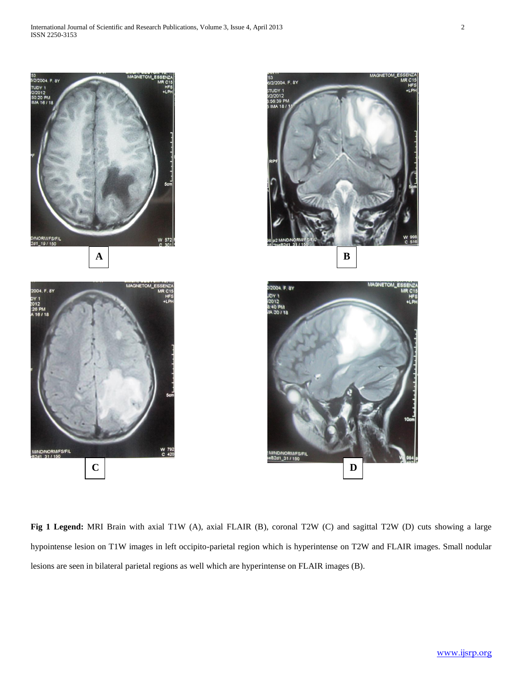

**Fig 1 Legend:** MRI Brain with axial T1W (A), axial FLAIR (B), coronal T2W (C) and sagittal T2W (D) cuts showing a large hypointense lesion on T1W images in left occipito-parietal region which is hyperintense on T2W and FLAIR images. Small nodular lesions are seen in bilateral parietal regions as well which are hyperintense on FLAIR images (B).